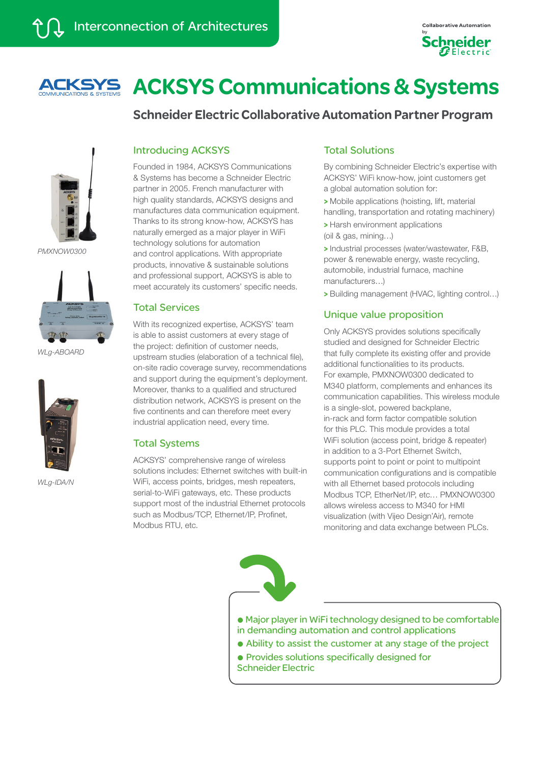



Schneider Electric Collaborative Automation Partner Program



*PMXNOW0300*



*WLg-ABOARD*



*WLg-IDA/N*

# Introducing ACKSYS

Founded in 1984, ACKSYS Communications & Systems has become a Schneider Electric partner in 2005. French manufacturer with high quality standards, ACKSYS designs and manufactures data communication equipment. Thanks to its strong know-how, ACKSYS has naturally emerged as a major player in WiFi technology solutions for automation and control applications. With appropriate products, innovative & sustainable solutions and professional support, ACKSYS is able to meet accurately its customers' specific needs.

## Total Services

With its recognized expertise, ACKSYS' team is able to assist customers at every stage of the project: definition of customer needs, upstream studies (elaboration of a technical file), on-site radio coverage survey, recommendations and support during the equipment's deployment. Moreover, thanks to a qualified and structured distribution network, ACKSYS is present on the five continents and can therefore meet every industrial application need, every time.

#### Total Systems

ACKSYS' comprehensive range of wireless solutions includes: Ethernet switches with built-in WiFi, access points, bridges, mesh repeaters, serial-to-WiFi gateways, etc. These products support most of the industrial Ethernet protocols such as Modbus/TCP, Ethernet/IP, Profinet, Modbus RTU, etc.

# Total Solutions

By combining Schneider Electric's expertise with ACKSYS' WiFi know-how, joint customers get a global automation solution for:

> Mobile applications (hoisting, lift, material handling, transportation and rotating machinery)

> Harsh environment applications (oil & gas, mining…)

> Industrial processes (water/wastewater, F&B, power & renewable energy, waste recycling, automobile, industrial furnace, machine manufacturers…)

> Building management (HVAC, lighting control…)

# Unique value proposition

Only ACKSYS provides solutions specifically studied and designed for Schneider Electric that fully complete its existing offer and provide additional functionalities to its products. For example, PMXNOW0300 dedicated to M340 platform, complements and enhances its communication capabilities. This wireless module is a single-slot, powered backplane, in-rack and form factor compatible solution for this PLC. This module provides a total WiFi solution (access point, bridge & repeater) in addition to a 3-Port Ethernet Switch, supports point to point or point to multipoint communication configurations and is compatible with all Ethernet based protocols including Modbus TCP, EtherNet/IP, etc… PMXNOW0300 allows wireless access to M340 for HMI visualization (with Vijeo Design'Air), remote monitoring and data exchange between PLCs.



@ Major player in WiFi technology designed to be comfortable in demanding automation and control applications

- @ Ability to assist the customer at any stage of the project
- @ Provides solutions specifically designed for Schneider Electric